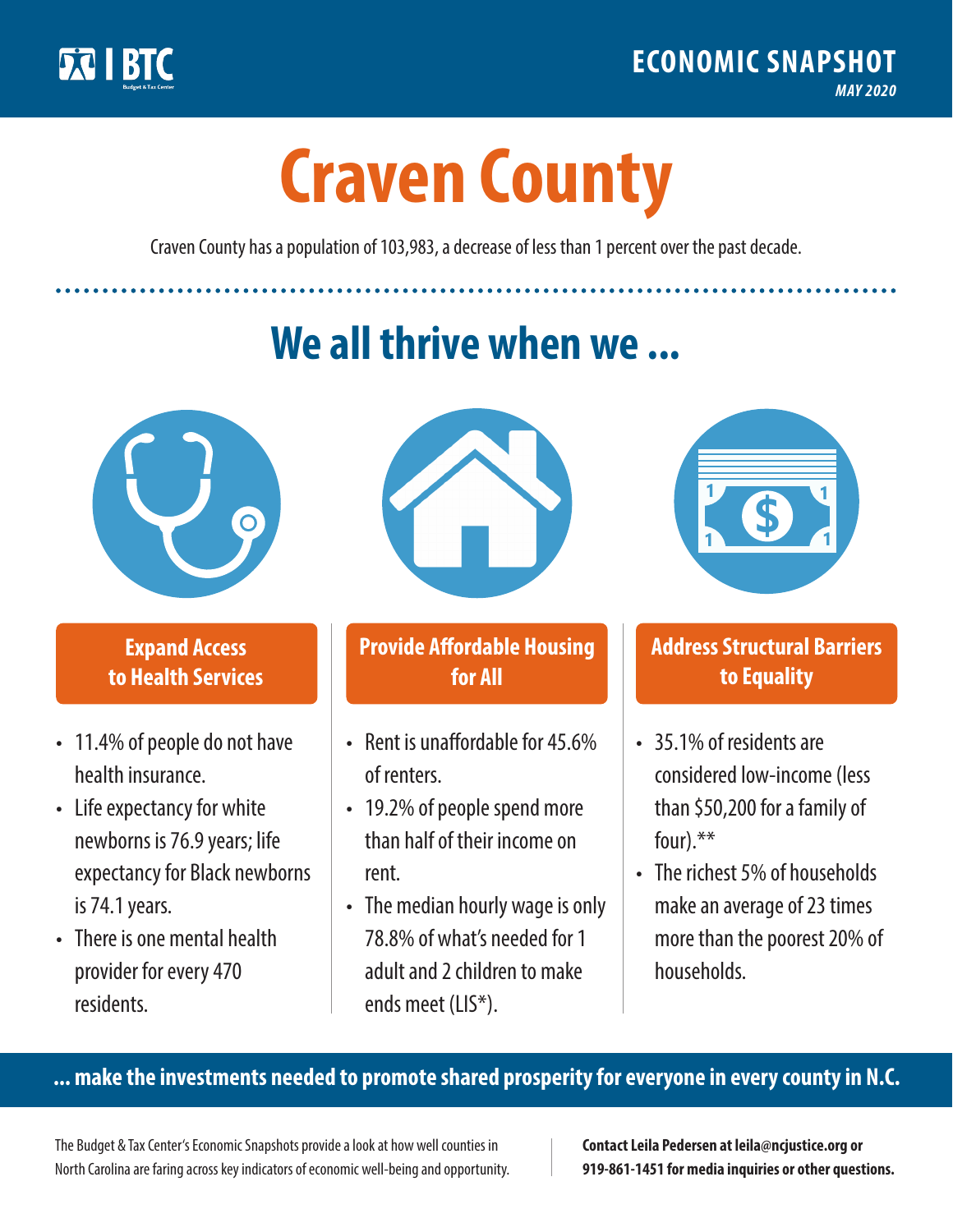

**1**

# **Craven County**

Craven County has a population of 103,983, a decrease of less than 1 percent over the past decade.

# **We all thrive when we ...**



**\$ <sup>1</sup>**

**\$ <sup>1</sup>**

#### **Expand Access to Health Services**

- 11.4% of people do not have health insurance.
- Life expectancy for white newborns is 76.9 years; life expectancy for Black newborns is 74.1years.
- There is one mental health provider for every 470 residents.



## **Provide Affordable Housing for All**

- Rent is unaffordable for 45.6% of renters.
- 19.2% of people spend more than half of their income on rent.
- The median hourly wage is only 78.8% of what's needed for 1 adult and 2 children to make ends meet (LIS\*).



## **Address Structural Barriers to Equality**

- 35.1% of residents are considered low-income (less than \$50,200 for a family of four).\*\*
- The richest 5% of households make an average of 23 times more than the poorest 20% of households.

#### **... make the investments needed to promote shared prosperity for everyone in every county in N.C.**

The Budget & Tax Center's Economic Snapshots provide a look at how well counties in North Carolina are faring across key indicators of economic well-being and opportunity.